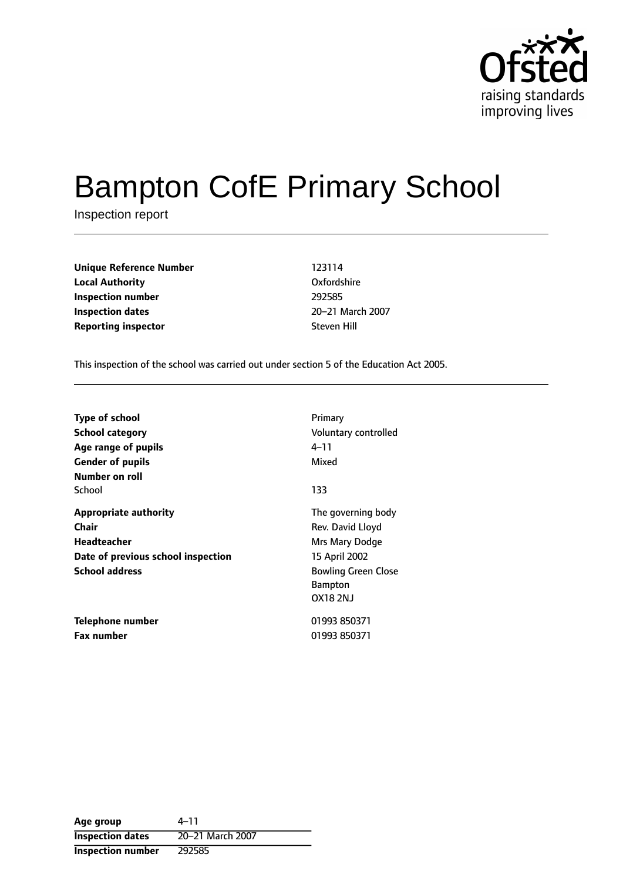

# Bampton CofE Primary School

Inspection report

| <b>Unique Reference Number</b> | 123114      |
|--------------------------------|-------------|
| <b>Local Authority</b>         | Oxfordshire |
| Inspection number              | 292585      |
| <b>Inspection dates</b>        | 20-21 Marc  |
| <b>Reporting inspector</b>     | Steven Hill |

**Oxfordshire Inspection dates** 2021 March 2007

This inspection of the school was carried out under section 5 of the Education Act 2005.

| <b>Type of school</b><br><b>School category</b><br>Age range of pupils<br><b>Gender of pupils</b><br>Number on roll | Primary<br>Voluntary controlled<br>4–11<br>Mixed                                                                                             |
|---------------------------------------------------------------------------------------------------------------------|----------------------------------------------------------------------------------------------------------------------------------------------|
| School                                                                                                              | 133                                                                                                                                          |
| Appropriate authority<br>Chair<br><b>Headteacher</b><br>Date of previous school inspection<br><b>School address</b> | The governing body<br>Rev. David Lloyd<br>Mrs Mary Dodge<br>15 April 2002<br><b>Bowling Green Close</b><br><b>Bampton</b><br><b>OX18 2NJ</b> |
| Telephone number<br><b>Fax number</b>                                                                               | 01993 850371<br>01993 850371                                                                                                                 |

Age group  $4-11$ **Inspection dates** 20-21 March 2007 **Inspection number** 292585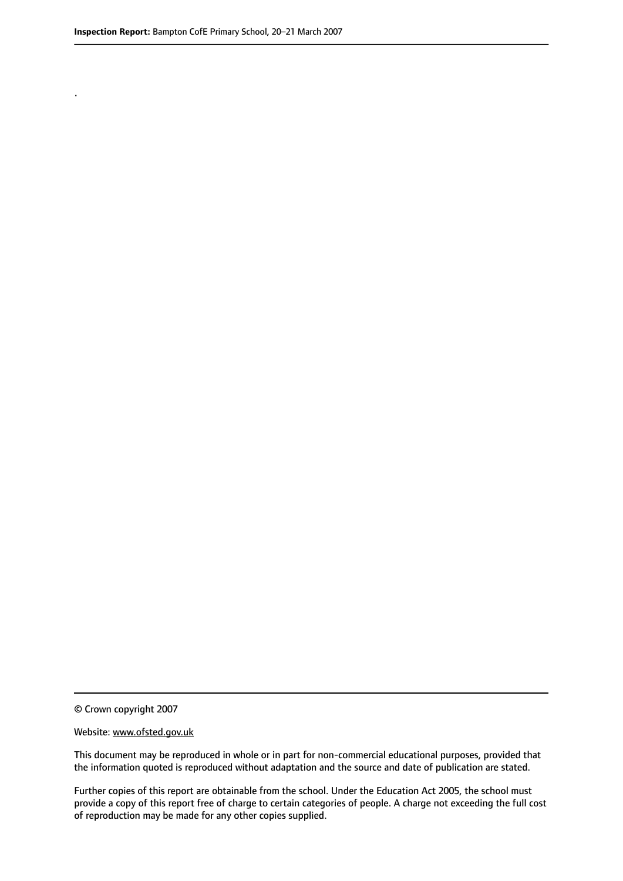.

© Crown copyright 2007

#### Website: www.ofsted.gov.uk

This document may be reproduced in whole or in part for non-commercial educational purposes, provided that the information quoted is reproduced without adaptation and the source and date of publication are stated.

Further copies of this report are obtainable from the school. Under the Education Act 2005, the school must provide a copy of this report free of charge to certain categories of people. A charge not exceeding the full cost of reproduction may be made for any other copies supplied.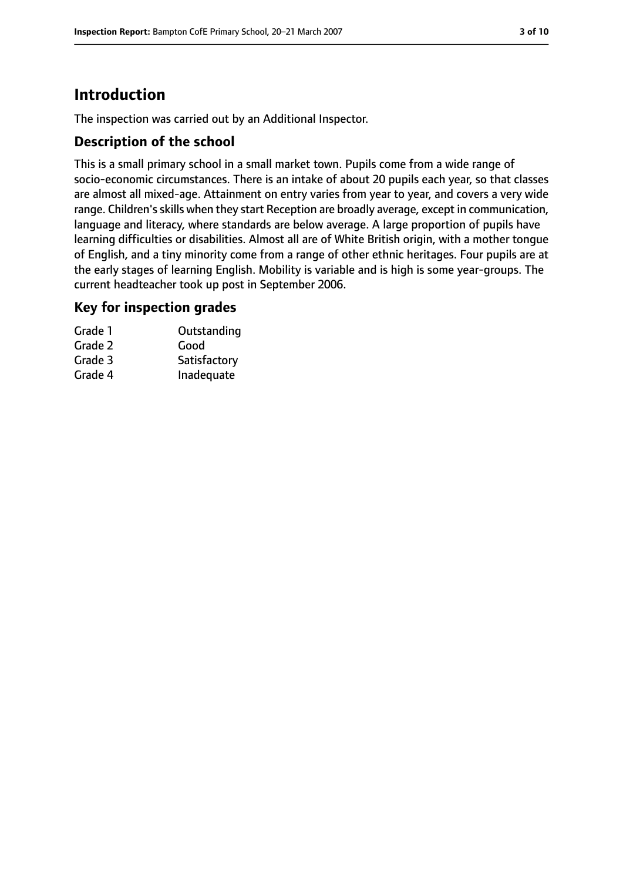# **Introduction**

The inspection was carried out by an Additional Inspector.

## **Description of the school**

This is a small primary school in a small market town. Pupils come from a wide range of socio-economic circumstances. There is an intake of about 20 pupils each year, so that classes are almost all mixed-age. Attainment on entry varies from year to year, and covers a very wide range. Children's skills when they start Reception are broadly average, except in communication, language and literacy, where standards are below average. A large proportion of pupils have learning difficulties or disabilities. Almost all are of White British origin, with a mother tongue of English, and a tiny minority come from a range of other ethnic heritages. Four pupils are at the early stages of learning English. Mobility is variable and is high is some year-groups. The current headteacher took up post in September 2006.

### **Key for inspection grades**

| Grade 1 | Outstanding  |
|---------|--------------|
| Grade 2 | Good         |
| Grade 3 | Satisfactory |
| Grade 4 | Inadequate   |
|         |              |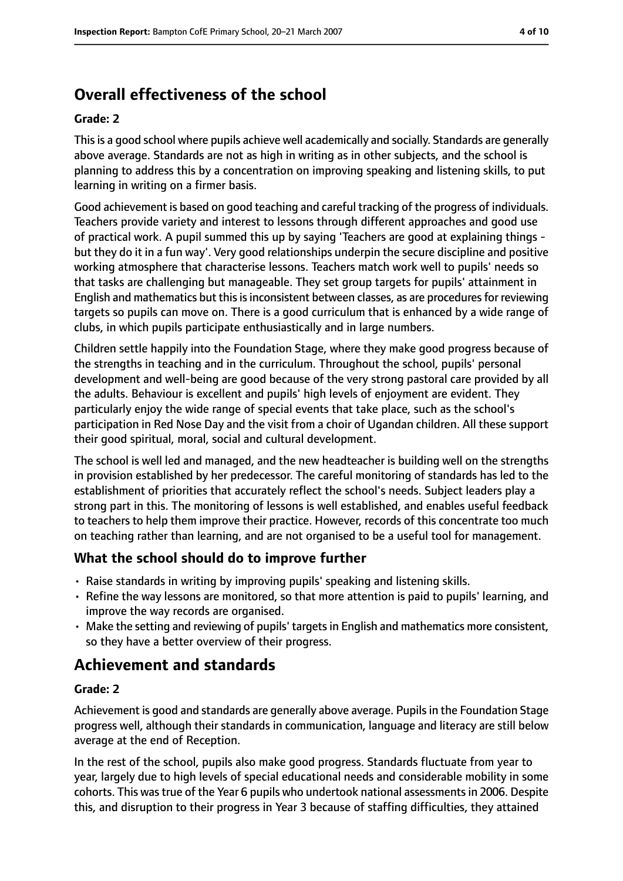# **Overall effectiveness of the school**

#### **Grade: 2**

Thisis a good school where pupils achieve well academically and socially. Standards are generally above average. Standards are not as high in writing as in other subjects, and the school is planning to address this by a concentration on improving speaking and listening skills, to put learning in writing on a firmer basis.

Good achievement is based on good teaching and careful tracking of the progress of individuals. Teachers provide variety and interest to lessons through different approaches and good use of practical work. A pupil summed this up by saying 'Teachers are good at explaining things but they do it in a fun way'. Very good relationships underpin the secure discipline and positive working atmosphere that characterise lessons. Teachers match work well to pupils' needs so that tasks are challenging but manageable. They set group targets for pupils' attainment in English and mathematics but this is inconsistent between classes, as are procedures for reviewing targets so pupils can move on. There is a good curriculum that is enhanced by a wide range of clubs, in which pupils participate enthusiastically and in large numbers.

Children settle happily into the Foundation Stage, where they make good progress because of the strengths in teaching and in the curriculum. Throughout the school, pupils' personal development and well-being are good because of the very strong pastoral care provided by all the adults. Behaviour is excellent and pupils' high levels of enjoyment are evident. They particularly enjoy the wide range of special events that take place, such as the school's participation in Red Nose Day and the visit from a choir of Ugandan children. All these support their good spiritual, moral, social and cultural development.

The school is well led and managed, and the new headteacher is building well on the strengths in provision established by her predecessor. The careful monitoring of standards has led to the establishment of priorities that accurately reflect the school's needs. Subject leaders play a strong part in this. The monitoring of lessons is well established, and enables useful feedback to teachers to help them improve their practice. However, records of this concentrate too much on teaching rather than learning, and are not organised to be a useful tool for management.

### **What the school should do to improve further**

- Raise standards in writing by improving pupils' speaking and listening skills.
- Refine the way lessons are monitored, so that more attention is paid to pupils' learning, and improve the way records are organised.
- Make the setting and reviewing of pupils' targetsin English and mathematics more consistent, so they have a better overview of their progress.

## **Achievement and standards**

#### **Grade: 2**

Achievement is good and standards are generally above average. Pupilsin the Foundation Stage progress well, although their standards in communication, language and literacy are still below average at the end of Reception.

In the rest of the school, pupils also make good progress. Standards fluctuate from year to year, largely due to high levels of special educational needs and considerable mobility in some cohorts. This wastrue of the Year 6 pupils who undertook national assessmentsin 2006. Despite this, and disruption to their progress in Year 3 because of staffing difficulties, they attained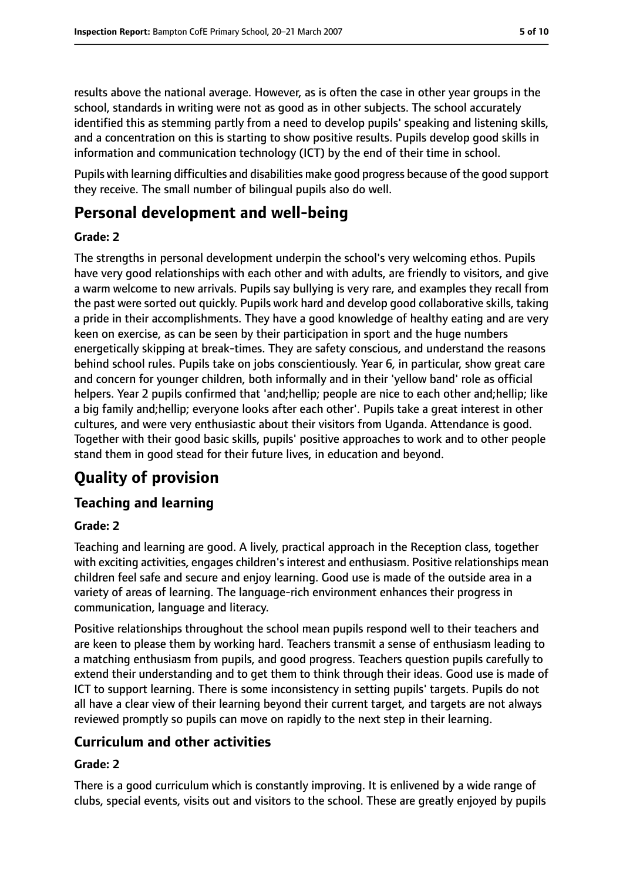results above the national average. However, as is often the case in other year groups in the school, standards in writing were not as good as in other subjects. The school accurately identified this as stemming partly from a need to develop pupils' speaking and listening skills, and a concentration on this is starting to show positive results. Pupils develop good skills in information and communication technology (ICT) by the end of their time in school.

Pupils with learning difficulties and disabilities make good progress because of the good support they receive. The small number of bilingual pupils also do well.

## **Personal development and well-being**

### **Grade: 2**

The strengths in personal development underpin the school's very welcoming ethos. Pupils have very good relationships with each other and with adults, are friendly to visitors, and give a warm welcome to new arrivals. Pupils say bullying is very rare, and examples they recall from the past were sorted out quickly. Pupils work hard and develop good collaborative skills, taking a pride in their accomplishments. They have a good knowledge of healthy eating and are very keen on exercise, as can be seen by their participation in sport and the huge numbers energetically skipping at break-times. They are safety conscious, and understand the reasons behind school rules. Pupils take on jobs conscientiously. Year 6, in particular, show great care and concern for younger children, both informally and in their 'yellow band' role as official helpers. Year 2 pupils confirmed that 'and;hellip; people are nice to each other and;hellip; like a big family and;hellip; everyone looks after each other'. Pupils take a great interest in other cultures, and were very enthusiastic about their visitors from Uganda. Attendance is good. Together with their good basic skills, pupils' positive approaches to work and to other people stand them in good stead for their future lives, in education and beyond.

# **Quality of provision**

## **Teaching and learning**

### **Grade: 2**

Teaching and learning are good. A lively, practical approach in the Reception class, together with exciting activities, engages children's interest and enthusiasm. Positive relationships mean children feel safe and secure and enjoy learning. Good use is made of the outside area in a variety of areas of learning. The language-rich environment enhances their progress in communication, language and literacy.

Positive relationships throughout the school mean pupils respond well to their teachers and are keen to please them by working hard. Teachers transmit a sense of enthusiasm leading to a matching enthusiasm from pupils, and good progress. Teachers question pupils carefully to extend their understanding and to get them to think through their ideas. Good use is made of ICT to support learning. There is some inconsistency in setting pupils' targets. Pupils do not all have a clear view of their learning beyond their current target, and targets are not always reviewed promptly so pupils can move on rapidly to the next step in their learning.

## **Curriculum and other activities**

### **Grade: 2**

There is a good curriculum which is constantly improving. It is enlivened by a wide range of clubs, special events, visits out and visitors to the school. These are greatly enjoyed by pupils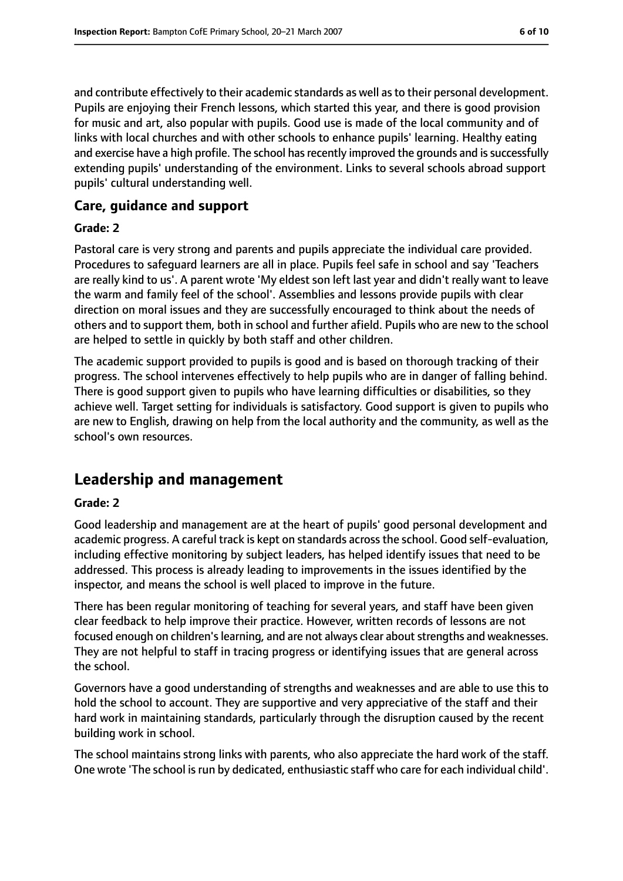and contribute effectively to their academic standards as well asto their personal development. Pupils are enjoying their French lessons, which started this year, and there is good provision for music and art, also popular with pupils. Good use is made of the local community and of links with local churches and with other schools to enhance pupils' learning. Healthy eating and exercise have a high profile. The school has recently improved the grounds and is successfully extending pupils' understanding of the environment. Links to several schools abroad support pupils' cultural understanding well.

#### **Care, guidance and support**

#### **Grade: 2**

Pastoral care is very strong and parents and pupils appreciate the individual care provided. Procedures to safeguard learners are all in place. Pupils feel safe in school and say 'Teachers are really kind to us'. A parent wrote 'My eldest son left last year and didn't really want to leave the warm and family feel of the school'. Assemblies and lessons provide pupils with clear direction on moral issues and they are successfully encouraged to think about the needs of others and to support them, both in school and further afield. Pupils who are new to the school are helped to settle in quickly by both staff and other children.

The academic support provided to pupils is good and is based on thorough tracking of their progress. The school intervenes effectively to help pupils who are in danger of falling behind. There is good support given to pupils who have learning difficulties or disabilities, so they achieve well. Target setting for individuals is satisfactory. Good support is given to pupils who are new to English, drawing on help from the local authority and the community, as well as the school's own resources.

## **Leadership and management**

#### **Grade: 2**

Good leadership and management are at the heart of pupils' good personal development and academic progress. A careful track is kept on standards across the school. Good self-evaluation, including effective monitoring by subject leaders, has helped identify issues that need to be addressed. This process is already leading to improvements in the issues identified by the inspector, and means the school is well placed to improve in the future.

There has been regular monitoring of teaching for several years, and staff have been given clear feedback to help improve their practice. However, written records of lessons are not focused enough on children's learning, and are not always clear about strengths and weaknesses. They are not helpful to staff in tracing progress or identifying issues that are general across the school.

Governors have a good understanding of strengths and weaknesses and are able to use this to hold the school to account. They are supportive and very appreciative of the staff and their hard work in maintaining standards, particularly through the disruption caused by the recent building work in school.

The school maintains strong links with parents, who also appreciate the hard work of the staff. One wrote 'The school is run by dedicated, enthusiastic staff who care for each individual child'.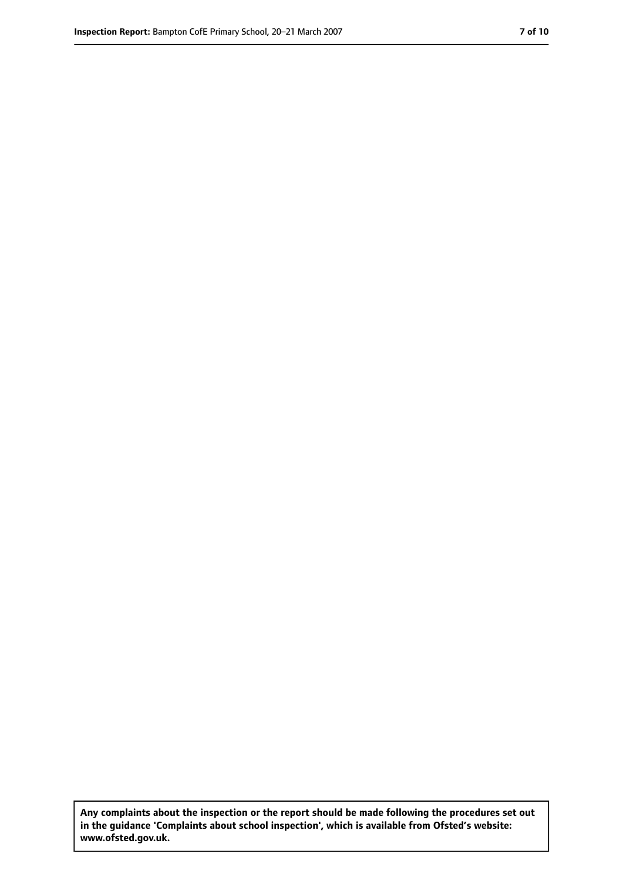**Any complaints about the inspection or the report should be made following the procedures set out in the guidance 'Complaints about school inspection', which is available from Ofsted's website: www.ofsted.gov.uk.**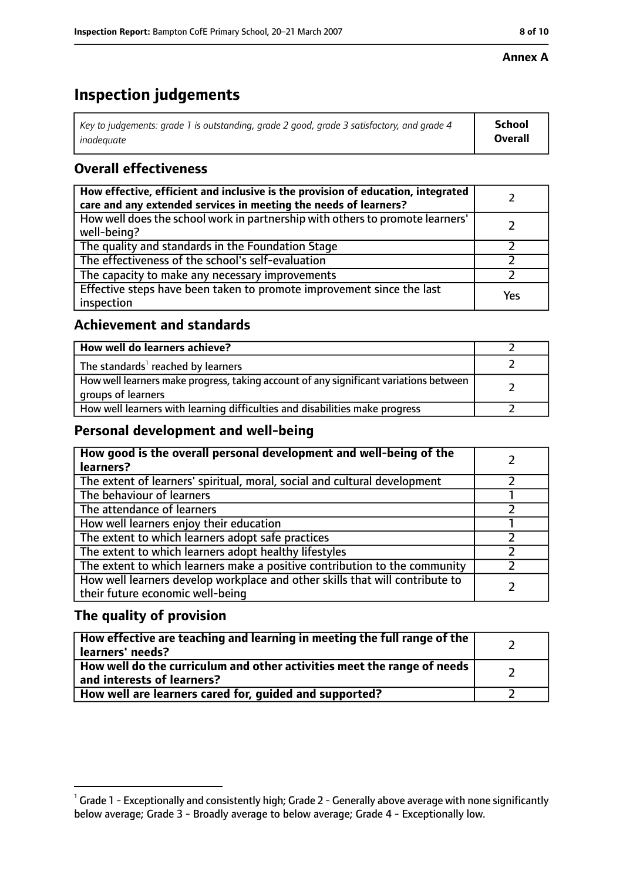#### **Annex A**

# **Inspection judgements**

| Key to judgements: grade 1 is outstanding, grade 2 good, grade 3 satisfactory, and grade 4 | <b>School</b>  |
|--------------------------------------------------------------------------------------------|----------------|
| inadequate                                                                                 | <b>Overall</b> |

## **Overall effectiveness**

| How effective, efficient and inclusive is the provision of education, integrated<br>care and any extended services in meeting the needs of learners? |     |
|------------------------------------------------------------------------------------------------------------------------------------------------------|-----|
| How well does the school work in partnership with others to promote learners'<br>well-being?                                                         |     |
| The quality and standards in the Foundation Stage                                                                                                    |     |
| The effectiveness of the school's self-evaluation                                                                                                    |     |
| The capacity to make any necessary improvements                                                                                                      |     |
| Effective steps have been taken to promote improvement since the last<br>inspection                                                                  | Yes |

## **Achievement and standards**

| How well do learners achieve?                                                                               |  |
|-------------------------------------------------------------------------------------------------------------|--|
| The standards <sup>1</sup> reached by learners                                                              |  |
| How well learners make progress, taking account of any significant variations between<br>groups of learners |  |
| How well learners with learning difficulties and disabilities make progress                                 |  |

## **Personal development and well-being**

| How good is the overall personal development and well-being of the<br>learners?                                  |  |
|------------------------------------------------------------------------------------------------------------------|--|
| The extent of learners' spiritual, moral, social and cultural development                                        |  |
| The behaviour of learners                                                                                        |  |
| The attendance of learners                                                                                       |  |
| How well learners enjoy their education                                                                          |  |
| The extent to which learners adopt safe practices                                                                |  |
| The extent to which learners adopt healthy lifestyles                                                            |  |
| The extent to which learners make a positive contribution to the community                                       |  |
| How well learners develop workplace and other skills that will contribute to<br>their future economic well-being |  |

## **The quality of provision**

| How effective are teaching and learning in meeting the full range of the<br>learners' needs?          |  |
|-------------------------------------------------------------------------------------------------------|--|
| How well do the curriculum and other activities meet the range of needs<br>and interests of learners? |  |
| How well are learners cared for, quided and supported?                                                |  |

 $^1$  Grade 1 - Exceptionally and consistently high; Grade 2 - Generally above average with none significantly below average; Grade 3 - Broadly average to below average; Grade 4 - Exceptionally low.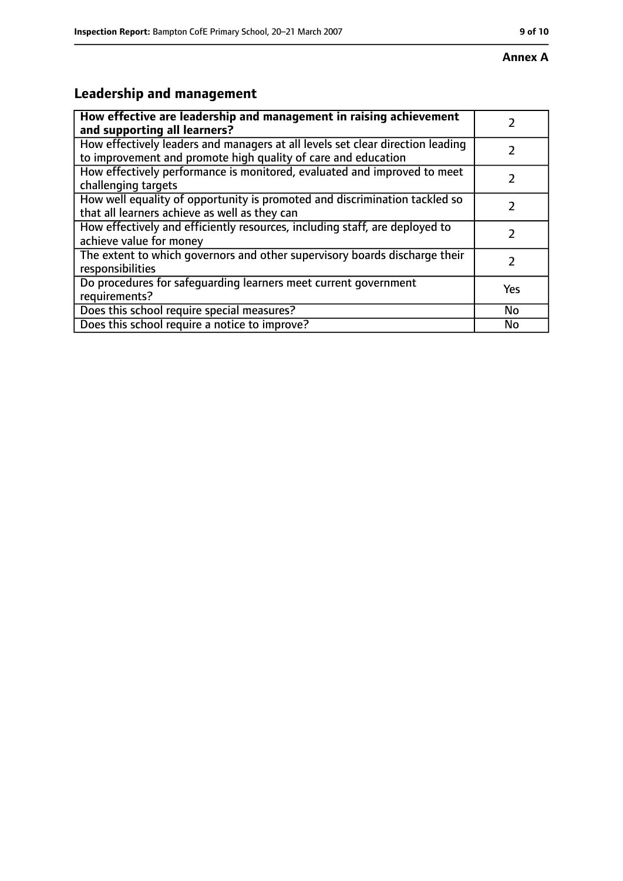# **Leadership and management**

| How effective are leadership and management in raising achievement                                                                              |     |
|-------------------------------------------------------------------------------------------------------------------------------------------------|-----|
| and supporting all learners?                                                                                                                    |     |
| How effectively leaders and managers at all levels set clear direction leading<br>to improvement and promote high quality of care and education |     |
| How effectively performance is monitored, evaluated and improved to meet<br>challenging targets                                                 |     |
| How well equality of opportunity is promoted and discrimination tackled so<br>that all learners achieve as well as they can                     |     |
| How effectively and efficiently resources, including staff, are deployed to<br>achieve value for money                                          | 7   |
| The extent to which governors and other supervisory boards discharge their<br>responsibilities                                                  | 7   |
| Do procedures for safequarding learners meet current government<br>requirements?                                                                | Yes |
| Does this school require special measures?                                                                                                      | No  |
| Does this school require a notice to improve?                                                                                                   | No  |